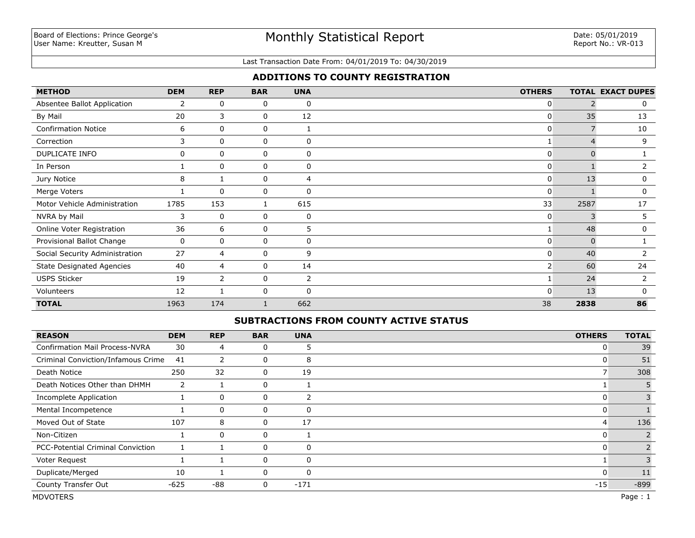#### Last Transaction Date From: 04/01/2019 To: 04/30/2019

### **ADDITIONS TO COUNTY REGISTRATION**

| <b>METHOD</b>                    | <b>DEM</b> | <b>REP</b>     | <b>BAR</b> | <b>UNA</b>   | <b>OTHERS</b> |          | <b>TOTAL EXACT DUPES</b> |
|----------------------------------|------------|----------------|------------|--------------|---------------|----------|--------------------------|
| Absentee Ballot Application      | 2          | 0              | 0          | $\mathbf 0$  | 0             |          | 0                        |
| By Mail                          | 20         | 3              | 0          | 12           | $\mathbf{0}$  | 35       | 13                       |
| <b>Confirmation Notice</b>       | 6          | 0              | 0          |              | $\mathbf{0}$  |          | 10                       |
| Correction                       | 3          | 0              | 0          | 0            |               |          | 9                        |
| DUPLICATE INFO                   | 0          | $\mathbf 0$    | 0          | 0            | 0             | 0        |                          |
| In Person                        |            | $\mathbf{0}$   | $\Omega$   | 0            | $\mathbf{0}$  |          |                          |
| Jury Notice                      | 8          |                | 0          | 4            | $\mathbf{0}$  | 13       | 0                        |
| Merge Voters                     |            | $\mathbf{0}$   | $\Omega$   | $\mathbf{0}$ | $\Omega$      |          | 0                        |
| Motor Vehicle Administration     | 1785       | 153            |            | 615          | 33            | 2587     | 17                       |
| NVRA by Mail                     | 3          | 0              | 0          | 0            | $\mathbf{0}$  | 3        | 5                        |
| Online Voter Registration        | 36         | 6              | 0          | 5            | 1             | 48       | 0                        |
| Provisional Ballot Change        | 0          | 0              | 0          | 0            | $\mathbf{0}$  | $\Omega$ |                          |
| Social Security Administration   | 27         | 4              | 0          | 9            | 0             | 40       |                          |
| <b>State Designated Agencies</b> | 40         | 4              | 0          | 14           | 2             | 60       | 24                       |
| <b>USPS Sticker</b>              | 19         | $\overline{2}$ | 0          | 2            |               | 24       | $\overline{2}$           |
| Volunteers                       | 12         |                | 0          | $\mathbf{0}$ | $\Omega$      | 13       | $\Omega$                 |
| <b>TOTAL</b>                     | 1963       | 174            |            | 662          | 38            | 2838     | 86                       |

### **SUBTRACTIONS FROM COUNTY ACTIVE STATUS**

| <b>REASON</b>                            | <b>DEM</b>            | <b>REP</b> | <b>BAR</b>  | <b>UNA</b> | <b>OTHERS</b> | <b>TOTAL</b> |
|------------------------------------------|-----------------------|------------|-------------|------------|---------------|--------------|
| <b>Confirmation Mail Process-NVRA</b>    | 30                    | 4          | 0           |            | 0             | 39           |
| Criminal Conviction/Infamous Crime       | 41                    | 2          | 0           | 8          |               | 51           |
| Death Notice                             | 250                   | 32         | 0           | 19         |               | 308          |
| Death Notices Other than DHMH            | $\mathbf{2}^{\prime}$ |            | $\mathbf 0$ |            |               |              |
| <b>Incomplete Application</b>            |                       | 0          | 0           | 2          | 0             |              |
| Mental Incompetence                      |                       | 0          | $\Omega$    | 0          |               |              |
| Moved Out of State                       | 107                   | 8          | 0           | 17         | 4             | 136          |
| Non-Citizen                              |                       | $\Omega$   | 0           |            |               |              |
| <b>PCC-Potential Criminal Conviction</b> |                       |            | 0           | 0          | 0             |              |
| Voter Request                            |                       |            | 0           | $\Omega$   |               |              |
| Duplicate/Merged                         | 10                    |            | $\mathbf 0$ | 0          | 0             | 11           |
| County Transfer Out                      | $-625$                | -88        | 0           | $-171$     | $-15$         | $-899$       |
| <b>MDVOTERS</b>                          |                       |            |             |            |               | Page: 1      |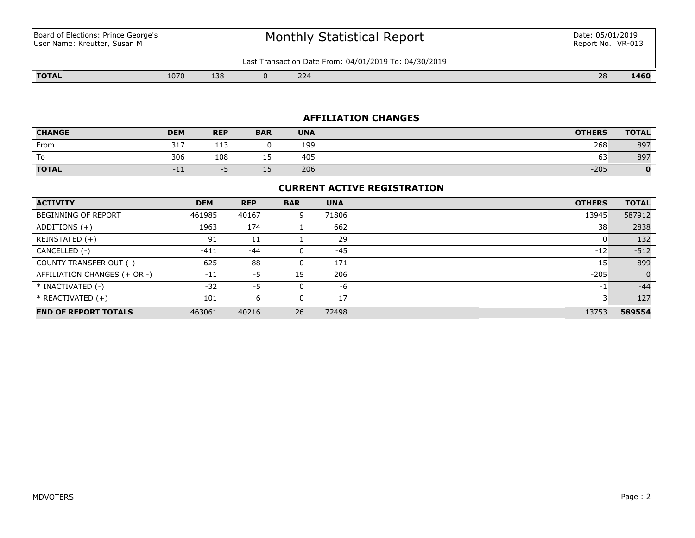Board of Elections: Prince George's User Name: Kreutter, Susan M

# Monthly Statistical Report

Last Transaction Date From: 04/01/2019 To: 04/30/2019

**TOTAL** 1070 138 0 224 28 **1460**

#### **AFFILIATION CHANGES**

| <b>CHANGE</b> | <b>DEM</b> | <b>REP</b>        | <b>BAR</b> | <b>UNA</b> | <b>OTHERS</b> | <b>TOTAL</b> |
|---------------|------------|-------------------|------------|------------|---------------|--------------|
| From          | 317        | $-1$<br><b>++</b> |            | 199        | 268           | 897          |
| To            | 306        | 108               | --         | 405        | 63            | 897          |
| <b>TOTAL</b>  | $-11$<br>. |                   | --         | 206        | $-205$        | 0            |

### **CURRENT ACTIVE REGISTRATION**

| <b>ACTIVITY</b>              | <b>DEM</b> | <b>REP</b> | <b>BAR</b> | <b>UNA</b> | <b>OTHERS</b> | <b>TOTAL</b> |
|------------------------------|------------|------------|------------|------------|---------------|--------------|
| <b>BEGINNING OF REPORT</b>   | 461985     | 40167      | 9          | 71806      | 13945         | 587912       |
| ADDITIONS $(+)$              | 1963       | 174        |            | 662        | 38            | 2838         |
| REINSTATED (+)               | 91         | 11         |            | 29         | 0             | 132          |
| CANCELLED (-)                | $-411$     | $-44$      | 0          | $-45$      | $-12$         | $-512$       |
| COUNTY TRANSFER OUT (-)      | $-625$     | -88        | 0          | $-171$     | $-15$         | $-899$       |
| AFFILIATION CHANGES (+ OR -) | $-11$      | -5         | 15         | 206        | $-205$        | $\Omega$     |
| * INACTIVATED (-)            | $-32$      | -5         | 0          | -6         | $-1$          | $-44$        |
| * REACTIVATED (+)            | 101        | 6          | 0          | 17         |               | 127          |
| <b>END OF REPORT TOTALS</b>  | 463061     | 40216      | 26         | 72498      | 13753         | 589554       |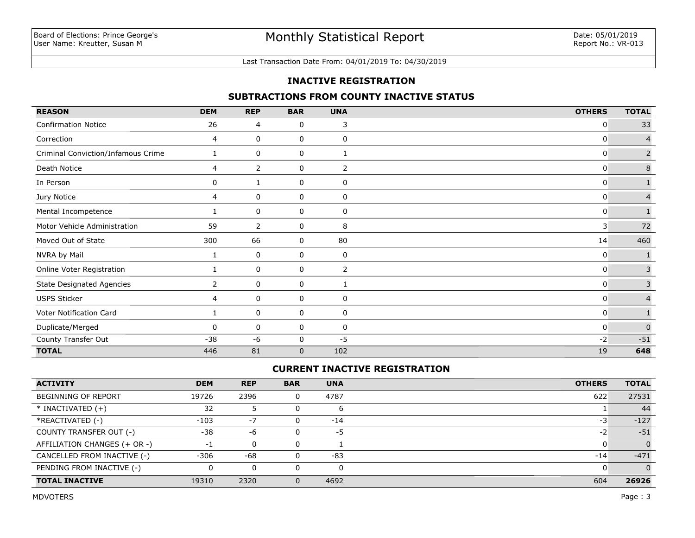### Last Transaction Date From: 04/01/2019 To: 04/30/2019

### **INACTIVE REGISTRATION**

## **SUBTRACTIONS FROM COUNTY INACTIVE STATUS**

| <b>REASON</b>                      | <b>DEM</b>   | <b>REP</b> | <b>BAR</b>  | <b>UNA</b>     | <b>OTHERS</b> | <b>TOTAL</b>   |
|------------------------------------|--------------|------------|-------------|----------------|---------------|----------------|
| <b>Confirmation Notice</b>         | 26           | 4          | 0           | 3              | 0             | 33             |
| Correction                         | 4            | 0          | 0           | 0              | 0             | 4              |
| Criminal Conviction/Infamous Crime |              | 0          | 0           | $\mathbf{1}$   | 0             | $\overline{2}$ |
| Death Notice                       | 4            | 2          | 0           | 2              | 0             | $\bf 8$        |
| In Person                          | 0            | 1          | 0           | 0              | 0             | $\mathbf{1}$   |
| Jury Notice                        | 4            | 0          | 0           | 0              | 0             | $\overline{4}$ |
| Mental Incompetence                |              | 0          | 0           | 0              | 0             | $\mathbf{1}$   |
| Motor Vehicle Administration       | 59           | 2          | 0           | 8              | 3             | 72             |
| Moved Out of State                 | 300          | 66         | 0           | 80             | 14            | 460            |
| NVRA by Mail                       |              | 0          | 0           | 0              | 0             |                |
| Online Voter Registration          |              | 0          | 0           | $\overline{2}$ | 0             | $\mathbf{3}$   |
| <b>State Designated Agencies</b>   | $\mathbf{2}$ | 0          | 0           | 1              | 0             | $\overline{3}$ |
| <b>USPS Sticker</b>                | 4            | 0          | 0           | 0              | 0             | $\overline{4}$ |
| Voter Notification Card            |              | 0          | 0           | 0              | 0             |                |
| Duplicate/Merged                   | 0            | 0          | 0           | 0              | 0             | $\mathbf 0$    |
| County Transfer Out                | $-38$        | $-6$       | 0           | $-5$           | $-2$          | $\text{-}51$   |
| <b>TOTAL</b>                       | 446          | 81         | $\mathbf 0$ | 102            | 19            | 648            |

## **CURRENT INACTIVE REGISTRATION**

| <b>ACTIVITY</b>              | <b>DEM</b> | <b>REP</b> | <b>BAR</b> | <b>UNA</b> | <b>OTHERS</b> | <b>TOTAL</b> |
|------------------------------|------------|------------|------------|------------|---------------|--------------|
| <b>BEGINNING OF REPORT</b>   | 19726      | 2396       |            | 4787       | 622           | 27531        |
| $*$ INACTIVATED $(+)$        | 32         |            |            | ь          |               | 44           |
| *REACTIVATED (-)             | $-103$     | $-7$       |            | $-14$      | -3            | $-127$       |
| COUNTY TRANSFER OUT (-)      | -38        | -6         |            | -5         | $-2$          | $-51$        |
| AFFILIATION CHANGES (+ OR -) |            | $\Omega$   |            |            |               |              |
| CANCELLED FROM INACTIVE (-)  | $-306$     | $-68$      |            | $-83$      | $-14$         | $-471$       |
| PENDING FROM INACTIVE (-)    |            | 0          |            | 0          |               |              |
| <b>TOTAL INACTIVE</b>        | 19310      | 2320       |            | 4692       | 604           | 26926        |